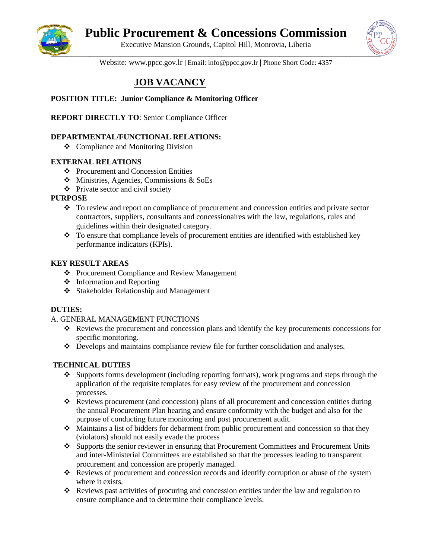

# **Public Procurement & Concessions Commission**

Executive Mansion Grounds, Capitol Hill, Monrovia, Liberia



Website: www.ppcc.gov.lr | Email: info@ppcc.gov.lr | Phone Short Code: 4357

## **JOB VACANCY**

## **POSITION TITLE: Junior Compliance & Monitoring Officer**

**REPORT DIRECTLY TO**: Senior Compliance Officer

## **DEPARTMENTAL/FUNCTIONAL RELATIONS:**

❖ Compliance and Monitoring Division

## **EXTERNAL RELATIONS**

- ❖ Procurement and Concession Entities
- ❖ Ministries, Agencies, Commissions & SoEs
- ❖ Private sector and civil society

#### **PURPOSE**

- ❖ To review and report on compliance of procurement and concession entities and private sector contractors, suppliers, consultants and concessionaires with the law, regulations, rules and guidelines within their designated category.
- ❖ To ensure that compliance levels of procurement entities are identified with established key performance indicators (KPIs).

## **KEY RESULT AREAS**

- ❖ Procurement Compliance and Review Management
- ❖ Information and Reporting
- ❖ Stakeholder Relationship and Management

#### **DUTIES:**

#### A. GENERAL MANAGEMENT FUNCTIONS

- ❖ Reviews the procurement and concession plans and identify the key procurements concessions for specific monitoring.
- ❖ Develops and maintains compliance review file for further consolidation and analyses.

## **TECHNICAL DUTIES**

- ❖ Supports forms development (including reporting formats), work programs and steps through the application of the requisite templates for easy review of the procurement and concession processes.
- ❖ Reviews procurement (and concession) plans of all procurement and concession entities during the annual Procurement Plan hearing and ensure conformity with the budget and also for the purpose of conducting future monitoring and post procurement audit.
- ❖ Maintains a list of bidders for debarment from public procurement and concession so that they (violators) should not easily evade the process
- ❖ Supports the senior reviewer in ensuring that Procurement Committees and Procurement Units and inter-Ministerial Committees are established so that the processes leading to transparent procurement and concession are properly managed.
- ❖ Reviews of procurement and concession records and identify corruption or abuse of the system where it exists.
- ❖ Reviews past activities of procuring and concession entities under the law and regulation to ensure compliance and to determine their compliance levels.